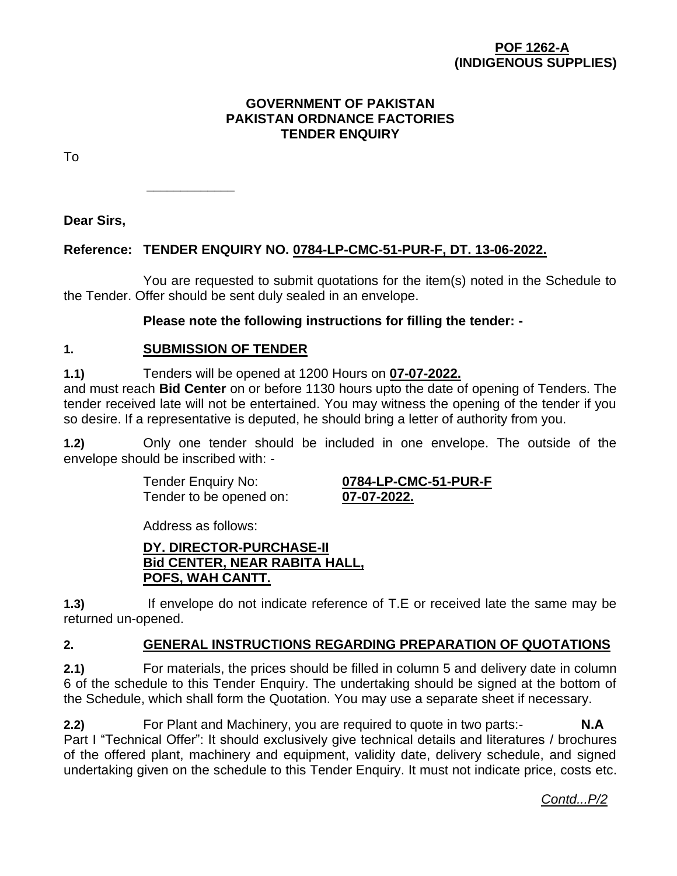### **POF 1262-A (INDIGENOUS SUPPLIES)**

#### **GOVERNMENT OF PAKISTAN PAKISTAN ORDNANCE FACTORIES TENDER ENQUIRY**

To

**Dear Sirs,**

### **Reference: TENDER ENQUIRY NO. 0784-LP-CMC-51-PUR-F, DT. 13-06-2022.**

You are requested to submit quotations for the item(s) noted in the Schedule to the Tender. Offer should be sent duly sealed in an envelope.

#### **Please note the following instructions for filling the tender: -**

#### **1. SUBMISSION OF TENDER**

**\_\_\_\_\_\_\_\_\_\_\_\_\_**

**1.1)** Tenders will be opened at 1200 Hours on **07-07-2022.**

and must reach **Bid Center** on or before 1130 hours upto the date of opening of Tenders. The tender received late will not be entertained. You may witness the opening of the tender if you so desire. If a representative is deputed, he should bring a letter of authority from you.

**1.2)** Only one tender should be included in one envelope. The outside of the envelope should be inscribed with: -

Tender to be opened on: **07-07-2022.**

Tender Enquiry No: **0784-LP-CMC-51-PUR-F**

Address as follows:

### **DY. DIRECTOR-PURCHASE-II Bid CENTER, NEAR RABITA HALL, POFS, WAH CANTT.**

**1.3)** If envelope do not indicate reference of T.E or received late the same may be returned un-opened.

#### **2. GENERAL INSTRUCTIONS REGARDING PREPARATION OF QUOTATIONS**

**2.1)** For materials, the prices should be filled in column 5 and delivery date in column 6 of the schedule to this Tender Enquiry. The undertaking should be signed at the bottom of the Schedule, which shall form the Quotation. You may use a separate sheet if necessary.

**2.2)** For Plant and Machinery, you are required to quote in two parts:- **N.A** Part I "Technical Offer": It should exclusively give technical details and literatures / brochures of the offered plant, machinery and equipment, validity date, delivery schedule, and signed undertaking given on the schedule to this Tender Enquiry. It must not indicate price, costs etc.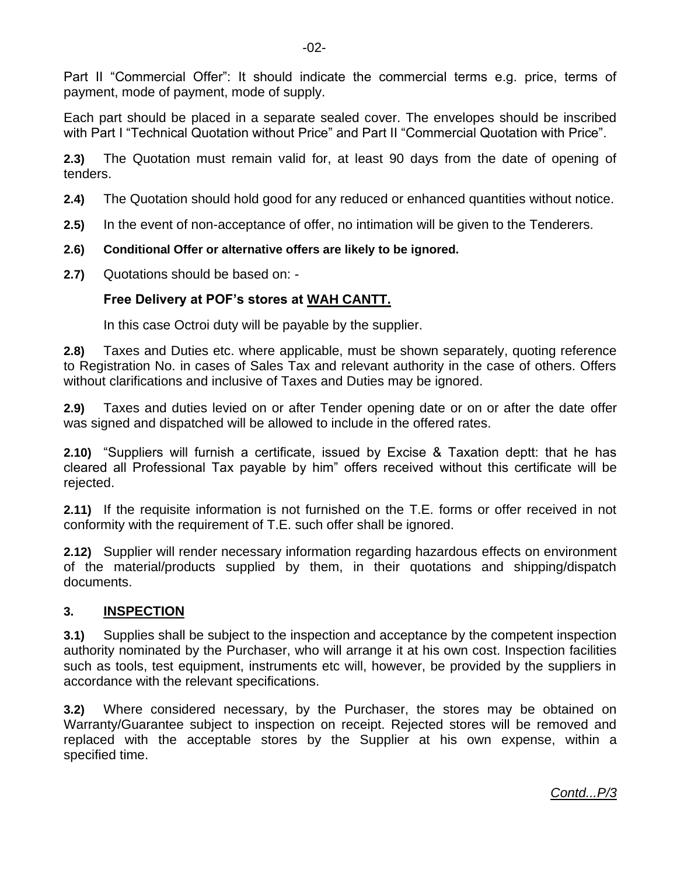Part II "Commercial Offer": It should indicate the commercial terms e.g. price, terms of payment, mode of payment, mode of supply.

Each part should be placed in a separate sealed cover. The envelopes should be inscribed with Part I "Technical Quotation without Price" and Part II "Commercial Quotation with Price".

**2.3)** The Quotation must remain valid for, at least 90 days from the date of opening of tenders.

- **2.4)** The Quotation should hold good for any reduced or enhanced quantities without notice.
- **2.5)** In the event of non-acceptance of offer, no intimation will be given to the Tenderers.
- **2.6) Conditional Offer or alternative offers are likely to be ignored.**
- **2.7)** Quotations should be based on: -

### **Free Delivery at POF's stores at WAH CANTT.**

In this case Octroi duty will be payable by the supplier.

**2.8)** Taxes and Duties etc. where applicable, must be shown separately, quoting reference to Registration No. in cases of Sales Tax and relevant authority in the case of others. Offers without clarifications and inclusive of Taxes and Duties may be ignored.

**2.9)** Taxes and duties levied on or after Tender opening date or on or after the date offer was signed and dispatched will be allowed to include in the offered rates.

**2.10)** "Suppliers will furnish a certificate, issued by Excise & Taxation deptt: that he has cleared all Professional Tax payable by him" offers received without this certificate will be rejected.

**2.11)** If the requisite information is not furnished on the T.E. forms or offer received in not conformity with the requirement of T.E. such offer shall be ignored.

**2.12)** Supplier will render necessary information regarding hazardous effects on environment of the material/products supplied by them, in their quotations and shipping/dispatch documents.

#### **3. INSPECTION**

**3.1)** Supplies shall be subject to the inspection and acceptance by the competent inspection authority nominated by the Purchaser, who will arrange it at his own cost. Inspection facilities such as tools, test equipment, instruments etc will, however, be provided by the suppliers in accordance with the relevant specifications.

**3.2)** Where considered necessary, by the Purchaser, the stores may be obtained on Warranty/Guarantee subject to inspection on receipt. Rejected stores will be removed and replaced with the acceptable stores by the Supplier at his own expense, within a specified time.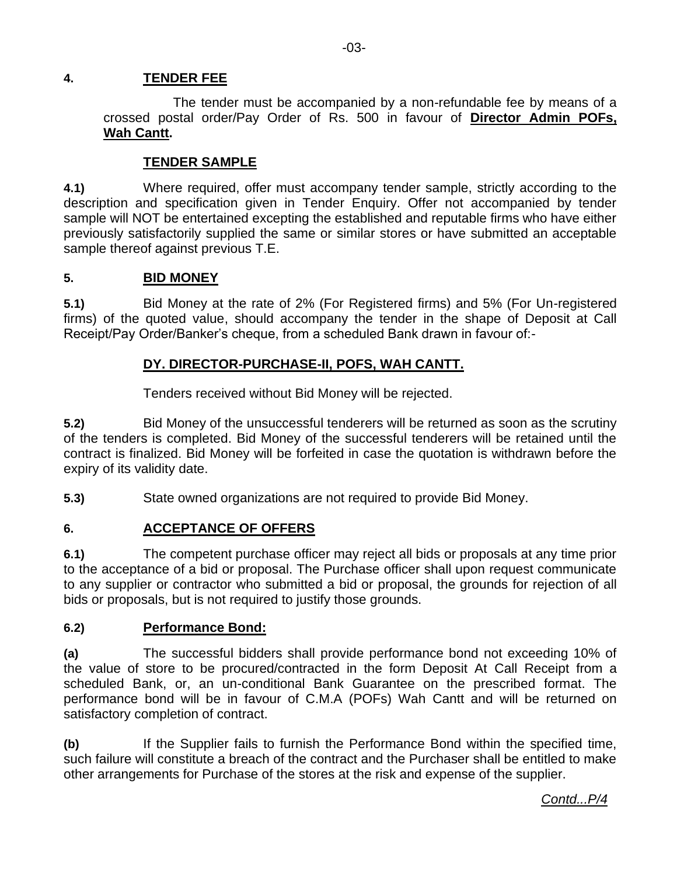# **4. TENDER FEE**

The tender must be accompanied by a non-refundable fee by means of a crossed postal order/Pay Order of Rs. 500 in favour of **Director Admin POFs, Wah Cantt.** 

# **TENDER SAMPLE**

**4.1)** Where required, offer must accompany tender sample, strictly according to the description and specification given in Tender Enquiry. Offer not accompanied by tender sample will NOT be entertained excepting the established and reputable firms who have either previously satisfactorily supplied the same or similar stores or have submitted an acceptable sample thereof against previous T.E.

#### **5. BID MONEY**

**5.1)** Bid Money at the rate of 2% (For Registered firms) and 5% (For Un-registered firms) of the quoted value, should accompany the tender in the shape of Deposit at Call Receipt/Pay Order/Banker's cheque, from a scheduled Bank drawn in favour of:-

### **DY. DIRECTOR-PURCHASE-II, POFS, WAH CANTT.**

Tenders received without Bid Money will be rejected.

**5.2)** Bid Money of the unsuccessful tenderers will be returned as soon as the scrutiny of the tenders is completed. Bid Money of the successful tenderers will be retained until the contract is finalized. Bid Money will be forfeited in case the quotation is withdrawn before the expiry of its validity date.

**5.3)** State owned organizations are not required to provide Bid Money.

# **6. ACCEPTANCE OF OFFERS**

**6.1)** The competent purchase officer may reject all bids or proposals at any time prior to the acceptance of a bid or proposal. The Purchase officer shall upon request communicate to any supplier or contractor who submitted a bid or proposal, the grounds for rejection of all bids or proposals, but is not required to justify those grounds.

#### **6.2) Performance Bond:**

**(a)** The successful bidders shall provide performance bond not exceeding 10% of the value of store to be procured/contracted in the form Deposit At Call Receipt from a scheduled Bank, or, an un-conditional Bank Guarantee on the prescribed format. The performance bond will be in favour of C.M.A (POFs) Wah Cantt and will be returned on satisfactory completion of contract.

**(b)** If the Supplier fails to furnish the Performance Bond within the specified time, such failure will constitute a breach of the contract and the Purchaser shall be entitled to make other arrangements for Purchase of the stores at the risk and expense of the supplier.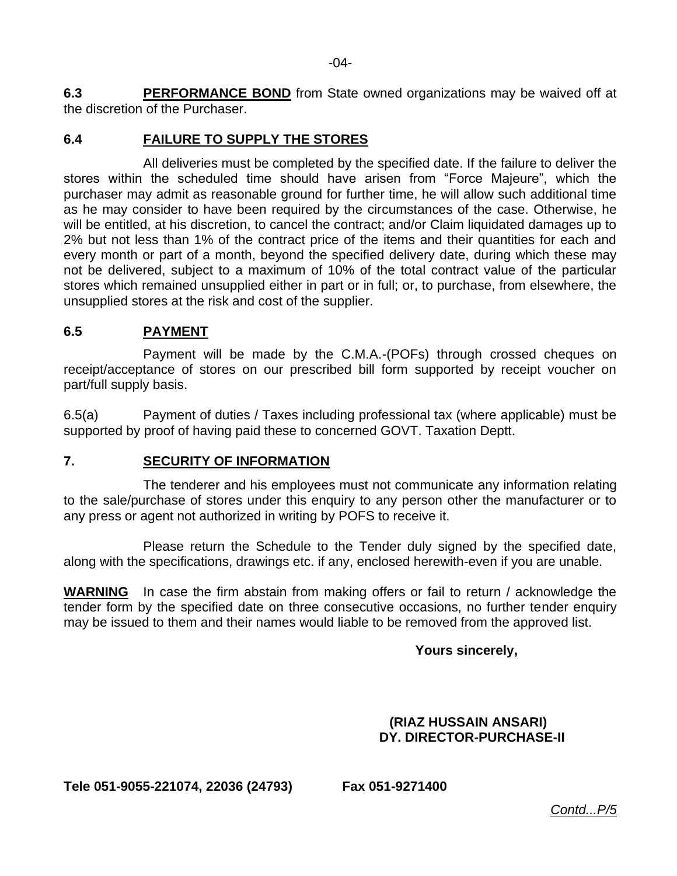**6.3 PERFORMANCE BOND** from State owned organizations may be waived off at the discretion of the Purchaser.

# **6.4 FAILURE TO SUPPLY THE STORES**

All deliveries must be completed by the specified date. If the failure to deliver the stores within the scheduled time should have arisen from "Force Majeure", which the purchaser may admit as reasonable ground for further time, he will allow such additional time as he may consider to have been required by the circumstances of the case. Otherwise, he will be entitled, at his discretion, to cancel the contract; and/or Claim liquidated damages up to 2% but not less than 1% of the contract price of the items and their quantities for each and every month or part of a month, beyond the specified delivery date, during which these may not be delivered, subject to a maximum of 10% of the total contract value of the particular stores which remained unsupplied either in part or in full; or, to purchase, from elsewhere, the unsupplied stores at the risk and cost of the supplier.

# **6.5 PAYMENT**

Payment will be made by the C.M.A.-(POFs) through crossed cheques on receipt/acceptance of stores on our prescribed bill form supported by receipt voucher on part/full supply basis.

6.5(a) Payment of duties / Taxes including professional tax (where applicable) must be supported by proof of having paid these to concerned GOVT. Taxation Deptt.

# **7. SECURITY OF INFORMATION**

The tenderer and his employees must not communicate any information relating to the sale/purchase of stores under this enquiry to any person other the manufacturer or to any press or agent not authorized in writing by POFS to receive it.

Please return the Schedule to the Tender duly signed by the specified date, along with the specifications, drawings etc. if any, enclosed herewith-even if you are unable.

**WARNING** In case the firm abstain from making offers or fail to return / acknowledge the tender form by the specified date on three consecutive occasions, no further tender enquiry may be issued to them and their names would liable to be removed from the approved list.

# **Yours sincerely,**

### **(RIAZ HUSSAIN ANSARI) DY. DIRECTOR-PURCHASE-II**

**Tele 051-9055-221074, 22036 (24793) Fax 051-9271400**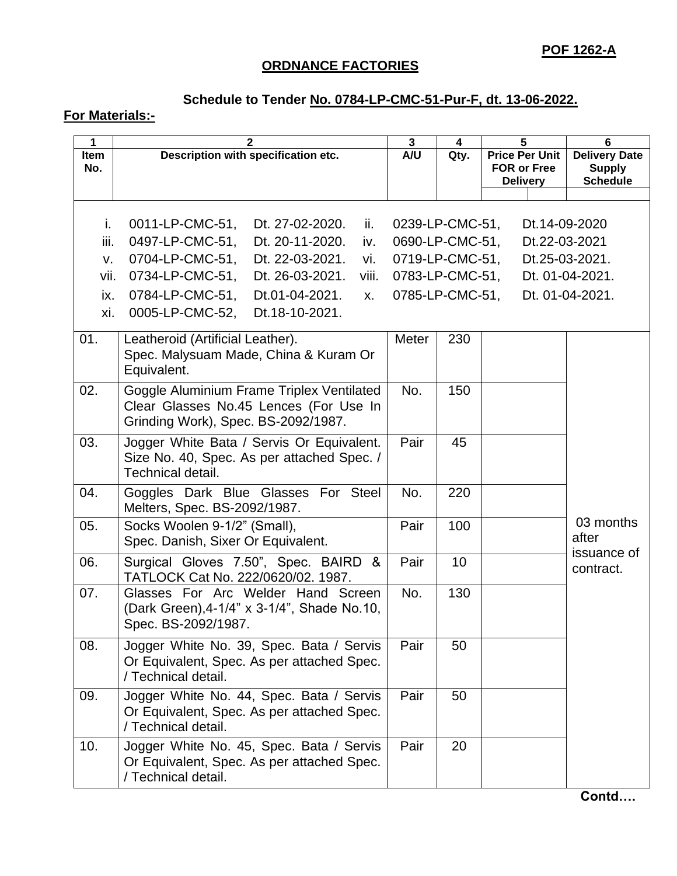# **ORDNANCE FACTORIES**

# **Schedule to Tender No. 0784-LP-CMC-51-Pur-F, dt. 13-06-2022.**

# **For Materials:-**

| 1           | $\mathbf{2}$                                                                  | $\mathbf{3}$    | 4    | 5                                     | 6                                |
|-------------|-------------------------------------------------------------------------------|-----------------|------|---------------------------------------|----------------------------------|
| <b>Item</b> | Description with specification etc.                                           | A/U             | Qty. | <b>Price Per Unit</b>                 | <b>Delivery Date</b>             |
| No.         |                                                                               |                 |      | <b>FOR or Free</b><br><b>Delivery</b> | <b>Supply</b><br><b>Schedule</b> |
|             |                                                                               |                 |      |                                       |                                  |
|             |                                                                               |                 |      |                                       |                                  |
| i.          | 0011-LP-CMC-51,<br>Dt. 27-02-2020.<br>ii.                                     | 0239-LP-CMC-51, |      |                                       | Dt.14-09-2020                    |
| iii.        | 0497-LP-CMC-51,<br>Dt. 20-11-2020.<br>iv.                                     | 0690-LP-CMC-51, |      | Dt.22-03-2021                         |                                  |
| v.          | 0704-LP-CMC-51,<br>Dt. 22-03-2021.<br>vi.                                     | 0719-LP-CMC-51, |      |                                       | Dt.25-03-2021.                   |
| vii.        | 0734-LP-CMC-51,<br>Dt. 26-03-2021.<br>viii.                                   | 0783-LP-CMC-51, |      |                                       | Dt. 01-04-2021.                  |
| ix.         | 0784-LP-CMC-51,<br>Dt.01-04-2021.<br><b>X.</b>                                | 0785-LP-CMC-51, |      |                                       | Dt. 01-04-2021.                  |
| xi.         | 0005-LP-CMC-52,<br>Dt.18-10-2021.                                             |                 |      |                                       |                                  |
| 01.         | Leatheroid (Artificial Leather).                                              | Meter           | 230  |                                       |                                  |
|             | Spec. Malysuam Made, China & Kuram Or                                         |                 |      |                                       |                                  |
|             | Equivalent.                                                                   |                 |      |                                       |                                  |
| 02.         | Goggle Aluminium Frame Triplex Ventilated                                     | No.             | 150  |                                       |                                  |
|             | Clear Glasses No.45 Lences (For Use In                                        |                 |      |                                       |                                  |
|             | Grinding Work), Spec. BS-2092/1987.                                           |                 |      |                                       |                                  |
| 03.         | Jogger White Bata / Servis Or Equivalent.                                     | Pair            | 45   |                                       |                                  |
|             | Size No. 40, Spec. As per attached Spec. /                                    |                 |      |                                       |                                  |
|             | Technical detail.                                                             |                 |      |                                       |                                  |
| 04.         | Goggles Dark Blue Glasses For Steel                                           | No.             | 220  |                                       |                                  |
|             | Melters, Spec. BS-2092/1987.                                                  |                 |      |                                       | 03 months                        |
| 05.         | Socks Woolen 9-1/2" (Small),                                                  | Pair            | 100  |                                       | after                            |
|             | Spec. Danish, Sixer Or Equivalent.                                            |                 |      |                                       | issuance of                      |
| 06.         | Surgical Gloves 7.50", Spec. BAIRD<br>&<br>TATLOCK Cat No. 222/0620/02. 1987. | Pair            | 10   |                                       | contract.                        |
| 07.         | Glasses For Arc Welder Hand Screen                                            | No.             | 130  |                                       |                                  |
|             | (Dark Green), 4-1/4" x 3-1/4", Shade No.10,                                   |                 |      |                                       |                                  |
|             | Spec. BS-2092/1987.                                                           |                 |      |                                       |                                  |
| 08.         | Jogger White No. 39, Spec. Bata / Servis                                      | Pair            | 50   |                                       |                                  |
|             | Or Equivalent, Spec. As per attached Spec.                                    |                 |      |                                       |                                  |
|             | / Technical detail.                                                           |                 |      |                                       |                                  |
| 09.         | Jogger White No. 44, Spec. Bata / Servis                                      | Pair            | 50   |                                       |                                  |
|             | Or Equivalent, Spec. As per attached Spec.                                    |                 |      |                                       |                                  |
|             | / Technical detail.                                                           |                 |      |                                       |                                  |
| 10.         | Jogger White No. 45, Spec. Bata / Servis                                      | Pair            | 20   |                                       |                                  |
|             | Or Equivalent, Spec. As per attached Spec.                                    |                 |      |                                       |                                  |
|             | / Technical detail.                                                           |                 |      |                                       |                                  |

**Contd….**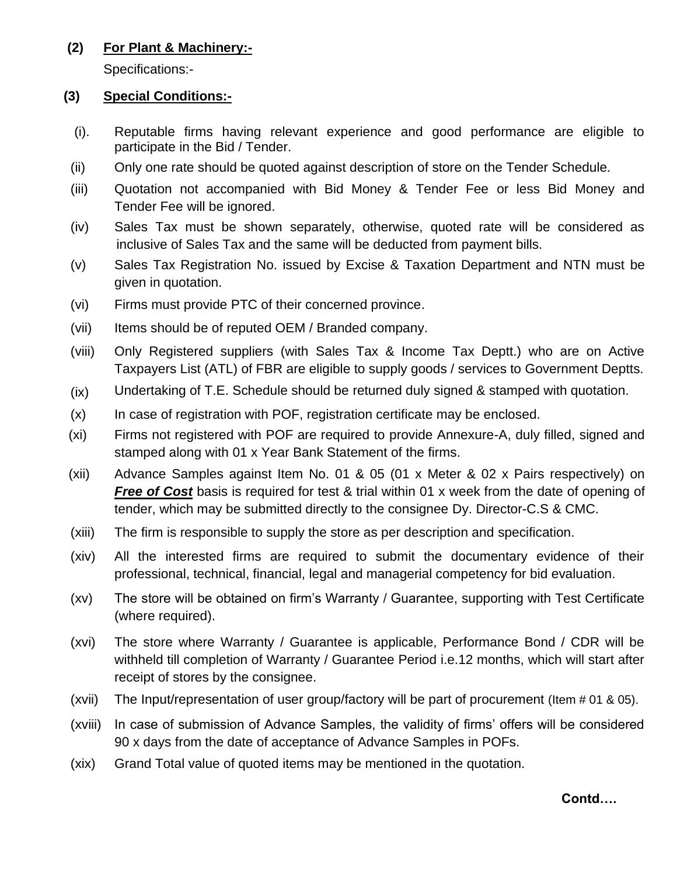# **(2) For Plant & Machinery:-**

Specifications:-

### **(3) Special Conditions:-**

- (i). Reputable firms having relevant experience and good performance are eligible to participate in the Bid / Tender.
- (ii) Only one rate should be quoted against description of store on the Tender Schedule.
- (iii) Quotation not accompanied with Bid Money & Tender Fee or less Bid Money and Tender Fee will be ignored.
- (iv) Sales Tax must be shown separately, otherwise, quoted rate will be considered as inclusive of Sales Tax and the same will be deducted from payment bills.
- (v) Sales Tax Registration No. issued by Excise & Taxation Department and NTN must be given in quotation.
- (vi) Firms must provide PTC of their concerned province.
- (vii) Items should be of reputed OEM / Branded company.
- (viii) Only Registered suppliers (with Sales Tax & Income Tax Deptt.) who are on Active Taxpayers List (ATL) of FBR are eligible to supply goods / services to Government Deptts.
- (ix) Undertaking of T.E. Schedule should be returned duly signed & stamped with quotation.
- (x) In case of registration with POF, registration certificate may be enclosed.
- (xi) Firms not registered with POF are required to provide Annexure-A, duly filled, signed and stamped along with 01 x Year Bank Statement of the firms.
- (xii) Advance Samples against Item No. 01 & 05 (01 x Meter & 02 x Pairs respectively) on *Free of Cost* basis is required for test & trial within 01 x week from the date of opening of tender, which may be submitted directly to the consignee Dy. Director-C.S & CMC.
- (xiii) The firm is responsible to supply the store as per description and specification.
- (xiv) All the interested firms are required to submit the documentary evidence of their professional, technical, financial, legal and managerial competency for bid evaluation.
- (xv) The store will be obtained on firm's Warranty / Guarantee, supporting with Test Certificate (where required).
- (xvi) The store where Warranty / Guarantee is applicable, Performance Bond / CDR will be withheld till completion of Warranty / Guarantee Period i.e.12 months, which will start after receipt of stores by the consignee.
- (xvii) The Input/representation of user group/factory will be part of procurement (Item # 01 & 05).
- (xviii) In case of submission of Advance Samples, the validity of firms' offers will be considered 90 x days from the date of acceptance of Advance Samples in POFs.
- (xix) Grand Total value of quoted items may be mentioned in the quotation.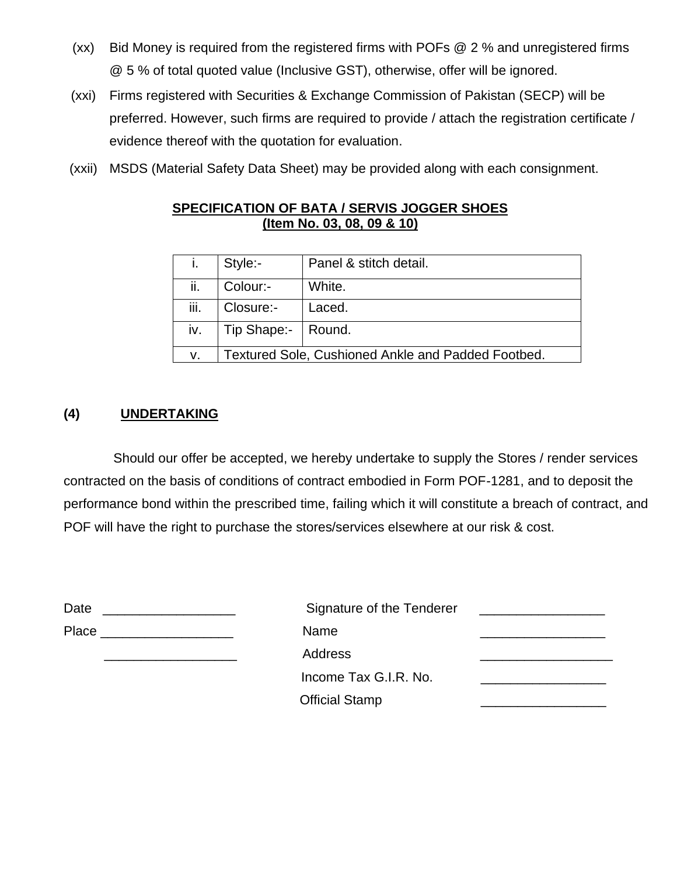- (xx) Bid Money is required from the registered firms with POFs @ 2 % and unregistered firms @ 5 % of total quoted value (Inclusive GST), otherwise, offer will be ignored.
- (xxi) Firms registered with Securities & Exchange Commission of Pakistan (SECP) will be preferred. However, such firms are required to provide / attach the registration certificate / evidence thereof with the quotation for evaluation.
- (xxii) MSDS (Material Safety Data Sheet) may be provided along with each consignment.

### **SPECIFICATION OF BATA / SERVIS JOGGER SHOES (Item No. 03, 08, 09 & 10)**

|      | Style:-                                            | Panel & stitch detail. |  |
|------|----------------------------------------------------|------------------------|--|
| ii.  | Colour:-                                           | White.                 |  |
| iii. | Closure:-                                          | Laced.                 |  |
| iv.  | Tip Shape:-   Round.                               |                        |  |
| v.   | Textured Sole, Cushioned Ankle and Padded Footbed. |                        |  |

# **(4) UNDERTAKING**

Should our offer be accepted, we hereby undertake to supply the Stores / render services contracted on the basis of conditions of contract embodied in Form POF-1281, and to deposit the performance bond within the prescribed time, failing which it will constitute a breach of contract, and POF will have the right to purchase the stores/services elsewhere at our risk & cost.

| Date<br>the contract of the contract of the contract of the contract of the contract of the contract of the contract of | Signature of the Tenderer |  |
|-------------------------------------------------------------------------------------------------------------------------|---------------------------|--|
| Place<br>the control of the control of the control of the control of the control of                                     | Name                      |  |
|                                                                                                                         | <b>Address</b>            |  |
|                                                                                                                         | Income Tax G.I.R. No.     |  |
|                                                                                                                         | <b>Official Stamp</b>     |  |